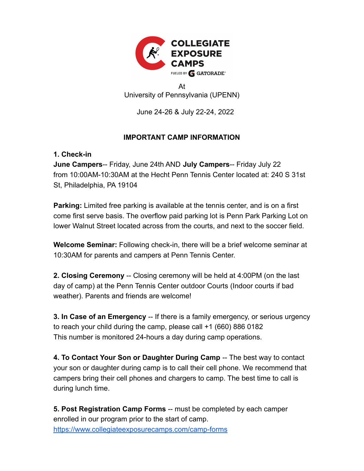

At University of Pennsylvania (UPENN)

June 24-26 & July 22-24, 2022

## **IMPORTANT CAMP INFORMATION**

## **1. Check-in**

**June Campers**-- Friday, June 24th AND **July Campers**-- Friday July 22 from 10:00AM-10:30AM at the Hecht Penn Tennis Center located at: 240 S 31st St, Philadelphia, PA 19104

**Parking:** Limited free parking is available at the tennis center, and is on a first come first serve basis. The overflow paid parking lot is Penn Park Parking Lot on lower Walnut Street located across from the courts, and next to the soccer field.

**Welcome Seminar:** Following check-in, there will be a brief welcome seminar at 10:30AM for parents and campers at Penn Tennis Center.

**2. Closing Ceremony** -- Closing ceremony will be held at 4:00PM (on the last day of camp) at the Penn Tennis Center outdoor Courts (Indoor courts if bad weather). Parents and friends are welcome!

**3. In Case of an Emergency** -- If there is a family emergency, or serious urgency to reach your child during the camp, please call +1 (660) 886 0182 This number is monitored 24-hours a day during camp operations.

**4. To Contact Your Son or Daughter During Camp** -- The best way to contact your son or daughter during camp is to call their cell phone. We recommend that campers bring their cell phones and chargers to camp. The best time to call is during lunch time.

**5. Post Registration Camp Forms** -- must be completed by each camper enrolled in our program prior to the start of camp. <https://www.collegiateexposurecamps.com/camp-forms>